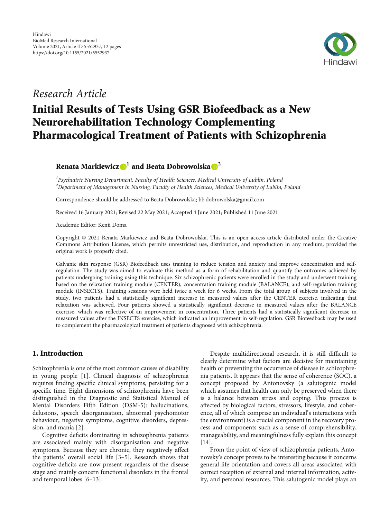

## Research Article

# Initial Results of Tests Using GSR Biofeedback as a New Neurorehabilitation Technology Complementing Pharmacological Treatment of Patients with Schizophrenia

## Renata Markiewicz **<sup>1</sup>** and Beata Dobrowolska **<sup>2</sup>**

<sup>1</sup> Psychiatric Nursing Department, Faculty of Health Sciences, Medical University of Lublin, Poland  $^2$ Department of Management in Nursing, Faculty of Health Sciences, Medical University of Lublin, Poland

Correspondence should be addressed to Beata Dobrowolska; bb.dobrowolska@gmail.com

Received 16 January 2021; Revised 22 May 2021; Accepted 4 June 2021; Published 11 June 2021

Academic Editor: Kenji Doma

Copyright © 2021 Renata Markiewicz and Beata Dobrowolska. This is an open access article distributed under the [Creative](https://creativecommons.org/licenses/by/4.0/) [Commons Attribution License,](https://creativecommons.org/licenses/by/4.0/) which permits unrestricted use, distribution, and reproduction in any medium, provided the original work is properly cited.

Galvanic skin response (GSR) Biofeedback uses training to reduce tension and anxiety and improve concentration and selfregulation. The study was aimed to evaluate this method as a form of rehabilitation and quantify the outcomes achieved by patients undergoing training using this technique. Six schizophrenic patients were enrolled in the study and underwent training based on the relaxation training module (CENTER), concentration training module (BALANCE), and self-regulation training module (INSECTS). Training sessions were held twice a week for 6 weeks. From the total group of subjects involved in the study, two patients had a statistically significant increase in measured values after the CENTER exercise, indicating that relaxation was achieved. Four patients showed a statistically significant decrease in measured values after the BALANCE exercise, which was reflective of an improvement in concentration. Three patients had a statistically significant decrease in measured values after the INSECTS exercise, which indicated an improvement in self-regulation. GSR Biofeedback may be used to complement the pharmacological treatment of patients diagnosed with schizophrenia.

#### 1. Introduction

Schizophrenia is one of the most common causes of disability in young people [\[1](#page-9-0)]. Clinical diagnosis of schizophrenia requires finding specific clinical symptoms, persisting for a specific time. Eight dimensions of schizophrenia have been distinguished in the Diagnostic and Statistical Manual of Mental Disorders Fifth Edition (DSM-5): hallucinations, delusions, speech disorganisation, abnormal psychomotor behaviour, negative symptoms, cognitive disorders, depression, and mania [\[2](#page-10-0)].

Cognitive deficits dominating in schizophrenia patients are associated mainly with disorganisation and negative symptoms. Because they are chronic, they negatively affect the patients' overall social life [\[3](#page-10-0)–[5\]](#page-10-0). Research shows that cognitive deficits are now present regardless of the disease stage and mainly concern functional disorders in the frontal and temporal lobes [[6](#page-10-0)–[13](#page-10-0)].

Despite multidirectional research, it is still difficult to clearly determine what factors are decisive for maintaining health or preventing the occurrence of disease in schizophrenia patients. It appears that the sense of coherence (SOC), a concept proposed by Antonovsky (a salutogenic model which assumes that health can only be preserved when there is a balance between stress and coping. This process is affected by biological factors, stressors, lifestyle, and coherence, all of which comprise an individual's interactions with the environment) is a crucial component in the recovery process and components such as a sense of comprehensibility, manageability, and meaningfulness fully explain this concept [\[14](#page-10-0)].

From the point of view of schizophrenia patients, Antonovsky's concept proves to be interesting because it concerns general life orientation and covers all areas associated with correct reception of external and internal information, activity, and personal resources. This salutogenic model plays an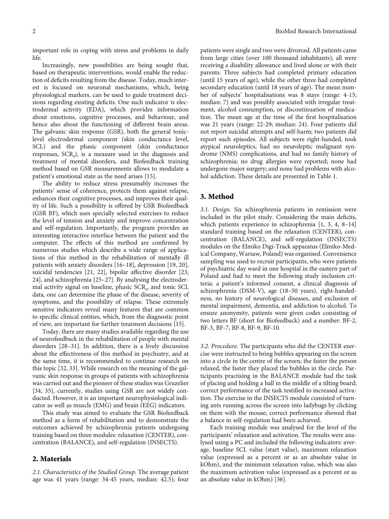important role in coping with stress and problems in daily life.

Increasingly, new possibilities are being sought that, based on therapeutic interventions, would enable the reduction of deficits resulting from the disease. Today, much interest is focused on neuronal mechanisms, which, being physiological markers, can be used to guide treatment decisions regarding existing deficits. One such indicator is electrodermal activity (EDA), which provides information about emotions, cognitive processes, and behaviour, and hence also about the functioning of different brain areas. The galvanic skin response (GSR), both the general toniclevel electrodermal component (skin conductance level, SCL) and the phasic component (skin conductance responses, SCR<sub>s</sub>), is a measure used in the diagnosis and treatment of mental disorders, and Biofeedback training method based on GSR measurements allows to modulate a patient's emotional state as the need arises [\[15\]](#page-10-0).

The ability to reduce stress presumably increases the patients' sense of coherence, protects them against relapse, enhances their cognitive processes, and improves their quality of life. Such a possibility is offered by GSR Biofeedback (GSR BF), which uses specially selected exercises to reduce the level of tension and anxiety and improve concentration and self-regulation. Importantly, the program provides an interesting interactive interface between the patient and the computer. The effects of this method are confirmed by numerous studies which describe a wide range of applications of this method in the rehabilitation of mentally ill patients with anxiety disorders [\[16](#page-10-0)–[18\]](#page-10-0), depression [\[19, 20](#page-10-0)], suicidal tendencies [\[21, 22\]](#page-10-0), bipolar affective disorder [\[23,](#page-10-0) [24\]](#page-10-0), and schizophrenia [\[25](#page-10-0)–[27](#page-10-0)]. By analysing the electrodermal activity signal on baseline, phasic  $SCR<sub>s</sub>$ , and tonic SCL data, one can determine the phase of the disease, severity of symptoms, and the possibility of relapse. These extremely sensitive indicators reveal many features that are common to specific clinical entities, which, from the diagnostic point of view, are important for further treatment decisions [[15\]](#page-10-0).

Today, there are many studies available regarding the use of neurofeedback in the rehabilitation of people with mental disorders [\[28](#page-10-0)–[31\]](#page-10-0). In addition, there is a lively discussion about the effectiveness of this method in psychiatry, and at the same time, it is recommended to continue research on this topic [[32](#page-10-0), [33](#page-10-0)]. While research on the meaning of the galvanic skin response in groups of patients with schizophrenia was carried out and the pioneer of these studies was Gruzelier [\[34](#page-10-0), [35\]](#page-11-0), currently, studies using GSR are not widely conducted. However, it is an important neurophysiological indicator as well as muscle (EMG) and brain (EEG) indicators.

This study was aimed to evaluate the GSR Biofeedback method as a form of rehabilitation and to demonstrate the outcomes achieved by schizophrenia patients undergoing training based on three modules: relaxation (CENTER), concentration (BALANCE), and self-regulation (INSECTS).

#### 2. Materials

2.1. Characteristics of the Studied Group. The average patient age was 41 years (range: 34-45 years, median: 42.5); four

patients were single and two were divorced. All patients came from large cities (over 100 thousand inhabitants); all were receiving a disability allowance and lived alone or with their parents. Three subjects had completed primary education (until 15 years of age), while the other three had completed secondary education (until 18 years of age). The mean number of subjects' hospitalisations was 8 stays (range: 4-15; median: 7) and was possibly associated with irregular treatment, alcohol consumption, or discontinuation of medication. The mean age at the time of the first hospitalisation was 21 years (range: 22-29; median: 24). Four patients did not report suicidal attempts and self-harm; two patients did report such episodes. All subjects were right-handed, took atypical neuroleptics, had no neuroleptic malignant syndrome (NMS) complications, and had no family history of schizophrenia; no drug allergies were reported; none had undergone major surgery; and none had problems with alcohol addiction. These details are presented in Table [1](#page-2-0).

#### 3. Method

3.1. Design. Six schizophrenia patients in remission were included in the pilot study. Considering the main deficits, which patients experience in schizophrenia [\[1,](#page-9-0) [3, 4, 8](#page-10-0)–[14\]](#page-10-0) standard training based on the relaxation (CENTER), concentration (BALANCE), and self-regulation (INSECTS) modules on the Elmiko Digi-Track apparatus (Elmiko-Medical Company, Warsaw, Poland) was organised. Convenience sampling was used to recruit participants, who were patients of psychiatric day ward in one hospital in the eastern part of Poland and had to meet the following study inclusion criteria: a patient's informed consent, a clinical diagnosis of schizophrenia (DSM-V), age (18–50 years), right-handedness, no history of neurological diseases, and exclusion of mental impairment, dementia, and addiction to alcohol. To ensure anonymity, patients were given codes consisting of two letters BF (short for Biofeedback) and a number: BF-2, BF-3, BF-7, BF-8, BF-9, BF-10.

3.2. Procedure. The participants who did the CENTER exercise were instructed to bring bubbles appearing on the screen into a circle in the centre of the screen; the faster the person relaxed, the faster they placed the bubbles in the circle. Participants practising in the BALANCE module had the task of placing and holding a ball in the middle of a tilting board; correct performance of the task testified to increased activation. The exercise in the INSECTS module consisted of turning ants running across the screen into ladybugs by clicking on them with the mouse; correct performance showed that a balance in self-regulation had been achieved.

Each training module was analysed for the level of the participants' relaxation and activation. The results were analysed using a PC and included the following indicators: average, baseline SCL value (start value), maximum relaxation value (expressed as a percent or as an absolute value in kOhm), and the minimum relaxation value, which was also the maximum activation value (expressed as a percent or as an absolute value in kOhm) [[36](#page-11-0)].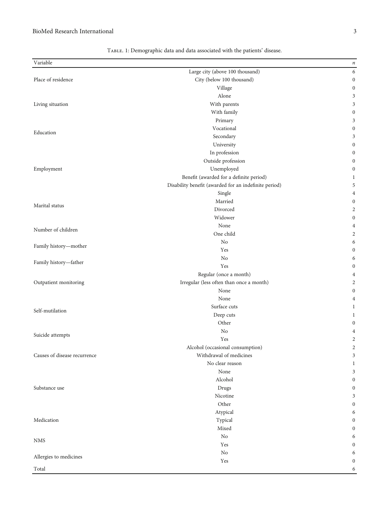<span id="page-2-0"></span>

| Variable                     |                                                       | $\boldsymbol{n}$                 |
|------------------------------|-------------------------------------------------------|----------------------------------|
|                              | Large city (above 100 thousand)                       | 6                                |
| Place of residence           | City (below 100 thousand)                             | $\boldsymbol{0}$                 |
|                              | Village                                               | $\boldsymbol{0}$                 |
|                              | Alone                                                 | $\mathfrak{Z}$                   |
| Living situation             | With parents                                          | $\mathfrak{Z}$                   |
|                              | With family                                           | $\boldsymbol{0}$                 |
|                              | Primary                                               | 3                                |
|                              | Vocational                                            | $\boldsymbol{0}$                 |
| Education                    | Secondary                                             | 3                                |
|                              | University                                            | $\boldsymbol{0}$                 |
|                              | In profession                                         | $\boldsymbol{0}$                 |
|                              | Outside profession                                    | $\boldsymbol{0}$                 |
| Employment                   | Unemployed                                            | $\boldsymbol{0}$                 |
|                              | Benefit (awarded for a definite period)               | $\mathbf{1}$                     |
|                              | Disability benefit (awarded for an indefinite period) | 5                                |
|                              | Single                                                | 4                                |
|                              | Married                                               | $\boldsymbol{0}$                 |
| Marital status               | Divorced                                              | $\overline{2}$                   |
|                              | Widower                                               | $\boldsymbol{0}$                 |
|                              | None                                                  | $\overline{4}$                   |
| Number of children           | One child                                             | $\overline{c}$                   |
|                              | $\rm No$                                              | 6                                |
| Family history-mother        | Yes                                                   | $\boldsymbol{0}$                 |
|                              | No                                                    | 6                                |
| Family history-father        | Yes                                                   | $\boldsymbol{0}$                 |
|                              |                                                       |                                  |
|                              | Regular (once a month)                                | $\overline{4}$<br>$\overline{c}$ |
| Outpatient monitoring        | Irregular (less often than once a month)              |                                  |
|                              | None                                                  | $\boldsymbol{0}$                 |
|                              | None                                                  | $\overline{4}$                   |
| Self-mutilation              | Surface cuts                                          | 1                                |
|                              | Deep cuts                                             | 1                                |
|                              | Other                                                 | $\boldsymbol{0}$                 |
| Suicide attempts             | No                                                    | $\overline{4}$                   |
|                              | Yes                                                   | $\overline{c}$                   |
|                              | Alcohol (occasional consumption)                      | $\mathfrak{D}$                   |
| Causes of disease recurrence | Withdrawal of medicines                               | 3                                |
|                              | No clear reason                                       | 1                                |
|                              | None                                                  | 3                                |
|                              | Alcohol                                               | 0                                |
| Substance use                | Drugs                                                 | $\mathbf{0}$                     |
|                              | Nicotine                                              | 3                                |
|                              | Other                                                 | $\mathbf{0}$                     |
|                              | Atypical                                              | 6                                |
| Medication                   | Typical                                               | 0                                |
|                              | Mixed                                                 | $\theta$                         |
| <b>NMS</b>                   | $\rm No$                                              | 6                                |
|                              | Yes                                                   | 0                                |
| Allergies to medicines       | $\rm No$                                              | 6                                |
|                              | Yes                                                   | $\bf{0}$                         |
| Total                        |                                                       | 6                                |

## Table. 1: Demographic data and data associated with the patients' disease.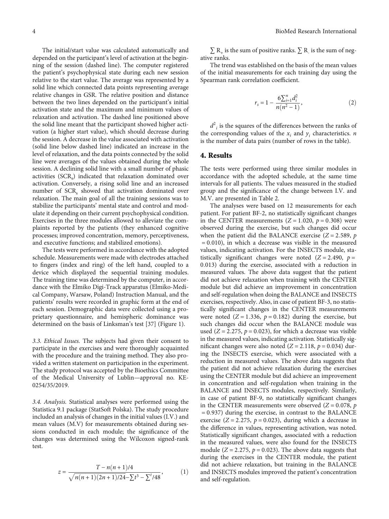The initial/start value was calculated automatically and depended on the participant's level of activation at the beginning of the session (dashed line). The computer registered the patient's psychophysical state during each new session relative to the start value. The average was represented by a solid line which connected data points representing average relative changes in GSR. The relative position and distance between the two lines depended on the participant's initial activation state and the maximum and minimum values of relaxation and activation. The dashed line positioned above the solid line meant that the participant showed higher activation (a higher start value), which should decrease during the session. A decrease in the value associated with activation (solid line below dashed line) indicated an increase in the level of relaxation, and the data points connected by the solid line were averages of the values obtained during the whole session. A declining solid line with a small number of phasic activities (SCR<sub>s</sub>) indicated that relaxation dominated over activation. Conversely, a rising solid line and an increased number of SCR<sub>s</sub> showed that activation dominated over relaxation. The main goal of all the training sessions was to stabilize the participants' mental state and control and modulate it depending on their current psychophysical condition. Exercises in the three modules allowed to alleviate the complaints reported by the patients (they enhanced cognitive processes; improved concentration, memory, perceptiveness, and executive functions; and stabilized emotions).

The tests were performed in accordance with the adopted schedule. Measurements were made with electrodes attached to fingers (index and ring) of the left hand, coupled to a device which displayed the sequential training modules. The training time was determined by the computer, in accordance with the Elmiko Digi-Track apparatus (Elmiko-Medical Company, Warsaw, Poland) Instruction Manual, and the patients' results were recorded in graphic form at the end of each session. Demographic data were collected using a proprietary questionnaire, and hemispheric dominance was determined on the basis of Linksman's test [[37](#page-11-0)] (Figure [1\)](#page-4-0).

3.3. Ethical Issues. The subjects had given their consent to participate in the exercises and were thoroughly acquainted with the procedure and the training method. They also provided a written statement on participation in the experiment. The study protocol was accepted by the Bioethics Committee of the Medical University of Lublin—approval no. KE-0254/35/2019.

3.4. Analysis. Statistical analyses were performed using the Statistica 9.1 package (StatSoft Polska). The study procedure included an analysis of changes in the initial values (I.V.) and mean values (M.V) for measurements obtained during sessions conducted in each module; the significance of the changes was determined using the Wilcoxon signed-rank test.

$$
z = \frac{T - n(n+1)/4}{\sqrt{n(n+1)(2n+1)/24} - \sum t^3 - \sum t^4/48},\tag{1}
$$

 $\sum R_{+}$  is the sum of positive ranks.  $\sum R_{-}$  is the sum of negative ranks.

The trend was established on the basis of the mean values of the initial measurements for each training day using the Spearman rank correlation coefficient.

$$
r_s = 1 - \frac{6\sum_{i=1}^{n} d_i^2}{n(n^2 - 1)},
$$
\n(2)

 $d^2$ <sub>*i*</sub> is the squares of the differences between the ranks of the corresponding values of the  $x_i$  and  $y_j$  characteristics. *n* is the number of data pairs (number of rows in the table).

#### 4. Results

The tests were performed using three similar modules in accordance with the adopted schedule, at the same time intervals for all patients. The values measured in the studied group and the significance of the change between I.V. and M.V. are presented in Table [2.](#page-5-0)

The analyses were based on 12 measurements for each patient. For patient BF-2, no statistically significant changes in the CENTER measurements  $(Z = 1.020, p = 0.308)$  were observed during the exercise, but such changes did occur when the patient did the BALANCE exercise  $(Z = 2.589, p$ = 0*:*010), in which a decrease was visible in the measured values, indicating activation. For the INSECTS module, statistically significant changes were noted  $(Z = 2.490, p =$ 0*:*013) during the exercise, associated with a reduction in measured values. The above data suggest that the patient did not achieve relaxation when training with the CENTER module but did achieve an improvement in concentration and self-regulation when doing the BALANCE and INSECTS exercises, respectively. Also, in case of patient BF-3, no statistically significant changes in the CENTER measurements were noted  $(Z = 1.336, p = 0.182)$  during the exercise, but such changes did occur when the BALANCE module was used  $(Z = 2.275, p = 0.023)$ , for which a decrease was visible in the measured values, indicating activation. Statistically significant changes were also noted ( $Z = 2.118$ ,  $p = 0.034$ ) during the INSECTS exercise, which were associated with a reduction in measured values. The above data suggests that the patient did not achieve relaxation during the exercises using the CENTER module but did achieve an improvement in concentration and self-regulation when training in the BALANCE and INSECTS modules, respectively. Similarly, in case of patient BF-9, no statistically significant changes in the CENTER measurements were observed  $(Z = 0.078, p$ = 0*:*937) during the exercise, in contrast to the BALANCE exercise  $(Z = 2.275, p = 0.023)$ , during which a decrease in the difference in values, representing activation, was noted. Statistically significant changes, associated with a reduction in the measured values, were also found for the INSECTS module  $(Z = 2.275, p = 0.023)$ . The above data suggests that during the exercises in the CENTER module, the patient did not achieve relaxation, but training in the BALANCE and INSECTS modules improved the patient's concentration and self-regulation.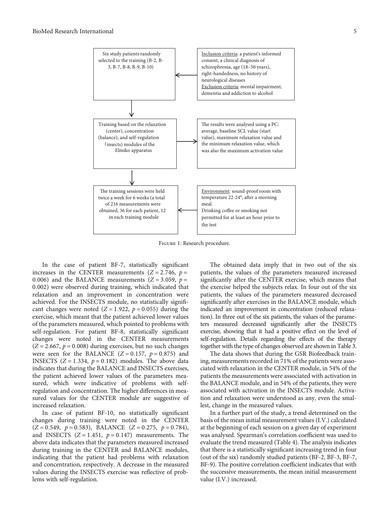<span id="page-4-0"></span>

Figure 1: Research procedure.

In the case of patient BF-7, statistically significant increases in the CENTER measurements  $(Z = 2.746, p =$ 0.006) and the BALANCE measurements  $(Z = 3.059, p =$ 0*:*002) were observed during training, which indicated that relaxation and an improvement in concentration were achieved. For the INSECTS module, no statistically significant changes were noted  $(Z = 1.922, p = 0.055)$  during the exercise, which meant that the patient achieved lower values of the parameters measured, which pointed to problems with self-regulation. For patient BF-8, statistically significant changes were noted in the CENTER measurements  $(Z = 2.667, p = 0.008)$  during exercises, but no such changes were seen for the BALANCE  $(Z = 0.157, p = 0.875)$  and INSECTS  $(Z = 1.334, p = 0.182)$  modules. The above data indicates that during the BALANCE and INSECTS exercises, the patient achieved lower values of the parameters measured, which were indicative of problems with selfregulation and concentration. The higher differences in measured values for the CENTER module are suggestive of increased relaxation.

In case of patient BF-10, no statistically significant changes during training were noted in the CENTER (*Z* = 0*:*549, *p* = 0*:*583), BALANCE (*Z* = 0*:*275, *p* = 0*:*784), and INSECTS  $(Z = 1.451, p = 0.147)$  measurements. The above data indicates that the parameters measured increased during training in the CENTER and BALANCE modules, indicating that the patient had problems with relaxation and concentration, respectively. A decrease in the measured values during the INSECTS exercise was reflective of problems with self-regulation.

The obtained data imply that in two out of the six patients, the values of the parameters measured increased significantly after the CENTER exercise, which means that the exercise helped the subjects relax. In four out of the six patients, the values of the parameters measured decreased significantly after exercises in the BALANCE module, which indicated an improvement in concentration (reduced relaxation). In three out of the six patients, the values of the parameters measured decreased significantly after the INSECTS exercise, showing that it had a positive effect on the level of self-regulation. Details regarding the effects of the therapy together with the type of changes observed are shown in Table [3.](#page-7-0)

The data shows that during the GSR Biofeedback training, measurements recorded in 71% of the patients were associated with relaxation in the CENTER module, in 54% of the patients the measurements were associated with activation in the BALANCE module, and in 54% of the patients, they were associated with activation in the INSECTS module. Activation and relaxation were understood as any, even the smallest, change in the measured values.

In a further part of the study, a trend determined on the basis of the mean initial measurement values (I.V.) calculated at the beginning of each session on a given day of experiment was analysed. Spearman's correlation coefficient was used to evaluate the trend measured (Table [4\)](#page-8-0). The analysis indicates that there is a statistically significant increasing trend in four (out of the six) randomly studied patients (BF-2, BF-3, BF-7, BF-9). The positive correlation coefficient indicates that with the successive measurements, the mean initial measurement value (I.V.) increased.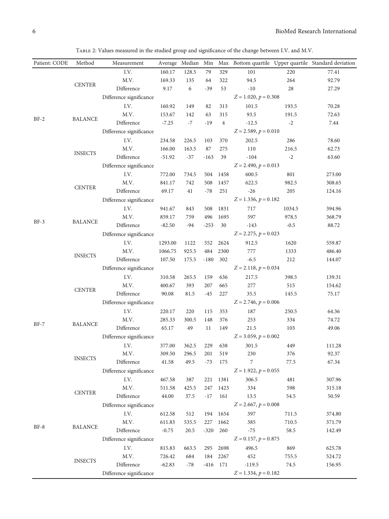<span id="page-5-0"></span>

| Patient: CODE                              | Method                  | Measurement                                       |          | Average Median | Min    |                        |                        |        | Max Bottom quartile Upper quartile Standard deviation |
|--------------------------------------------|-------------------------|---------------------------------------------------|----------|----------------|--------|------------------------|------------------------|--------|-------------------------------------------------------|
|                                            |                         | I.V.                                              | 160.17   | 128.5          | 79     | 329                    | 101                    | 220    | 77.41                                                 |
|                                            |                         | M.V.                                              | 169.33   | 135            | 64     | 322                    | 94.5                   | 264    | 92.79                                                 |
|                                            | <b>CENTER</b>           | Difference                                        | 9.17     | 6              | $-39$  | 53                     | $-10$                  | 28     | 27.29                                                 |
|                                            | Difference significance |                                                   |          |                |        | $Z = 1.020, p = 0.308$ |                        |        |                                                       |
|                                            | I.V.                    | 160.92                                            | 149      | 82             | 313    | 101.5                  | 193.5                  | 70.28  |                                                       |
|                                            | M.V.                    | 153.67                                            | 142      | 63             | 315    | 93.5                   | 191.5                  | 72.63  |                                                       |
| $BF-2$                                     | <b>BALANCE</b>          | Difference                                        | $-7.25$  | $-7$           | $-19$  | $\,4$                  | $-12.5$                | $-2$   | 7.44                                                  |
|                                            |                         | Difference significance                           |          |                |        |                        | $Z = 2.589, p = 0.010$ |        |                                                       |
|                                            |                         | I.V.                                              | 234.58   | 226.5          | 103    | 370                    | 202.5                  | 286    | 78.60                                                 |
|                                            |                         | M.V.                                              | 166.00   | 163.5          | 87     | 275                    | 110                    | 216.5  | 62.73                                                 |
|                                            | <b>INSECTS</b>          | Difference                                        | $-51.92$ | $-37$          | $-163$ | 39                     | $-104$                 | $-2$   | 63.60                                                 |
|                                            |                         | $Z = 2.490, p = 0.013$<br>Difference significance |          |                |        |                        |                        |        |                                                       |
|                                            |                         | I.V.                                              | 772.00   | 734.5          | 504    | 1458                   | 600.5                  | 801    | 273.00                                                |
|                                            |                         | M.V.                                              | 841.17   | 742            | 508    | 1457                   | 622.5                  | 982.5  | 308.65                                                |
|                                            | <b>CENTER</b>           | Difference                                        | 69.17    | 41             | $-78$  | 251                    | $-26$                  | 205    | 124.16                                                |
|                                            |                         | Difference significance                           |          |                |        |                        | $Z = 1.336, p = 0.182$ |        |                                                       |
|                                            |                         | I.V.                                              | 941.67   | 843            | 508    | 1831                   | 717                    | 1034.5 | 394.96                                                |
|                                            |                         | M.V.                                              | 859.17   | 759            | 496    | 1695                   | 597                    | 978.5  | 368.79                                                |
| $BF-3$<br><b>BALANCE</b><br><b>INSECTS</b> |                         | Difference                                        | $-82.50$ | $-94$          | $-253$ | 30                     | $-143$                 | $-0.5$ | 88.72                                                 |
|                                            | Difference significance |                                                   |          |                |        | $Z = 2.275, p = 0.023$ |                        |        |                                                       |
|                                            |                         | I.V.                                              | 1293.00  | 1122           | 552    | 2624                   | 912.5                  | 1620   | 559.87                                                |
|                                            |                         | M.V.                                              | 1066.75  | 925.5          | 484    | 2300                   | 777                    | 1333   | 486.40                                                |
|                                            |                         | Difference                                        | 107.50   | 175.5          | $-180$ | 302                    | $-6.5$                 | 212    | 144.07                                                |
|                                            |                         | Difference significance                           |          |                |        |                        | $Z = 2.118, p = 0.034$ |        |                                                       |
|                                            |                         | I.V.                                              | 310.58   | 265.5          | 159    | 636                    | 217.5                  | 398.5  | 139.31                                                |
|                                            |                         | M.V.                                              | 400.67   | 393            | 207    | 665                    | 277                    | 515    | 154.62                                                |
|                                            | <b>CENTER</b>           | Difference                                        | 90.08    | 81.5           | $-45$  | 227                    | 35.5                   | 145.5  | 75.17                                                 |
|                                            |                         | Difference significance                           |          |                |        |                        | $Z = 2.746, p = 0.006$ |        |                                                       |
|                                            |                         | I.V.                                              | 220.17   | 220            | 115    | 353                    | 187                    | 250.5  | 64.36                                                 |
|                                            |                         | M.V.                                              | 285.33   | 300.5          | 148    | 376                    | 253                    | 334    | 74.72                                                 |
| $BF-7$                                     | <b>BALANCE</b>          | Difference                                        | 65.17    | 49             | 11     | 149                    | 21.5                   | 103    | 49.06                                                 |
|                                            |                         | Difference significance                           |          |                |        |                        | $Z = 3.059, p = 0.002$ |        |                                                       |
|                                            |                         | I.V.                                              | 377.00   | 362.5          | 229    | 638                    | 301.5                  | 449    | 111.28                                                |
|                                            |                         | M.V.                                              | 309.50   | 296.5          | 201    | 519                    | 230                    | 376    | 92.37                                                 |
| <b>INSECTS</b>                             |                         | Difference                                        | 41.58    | 49.5           | $-73$  | 175                    | $\overline{7}$         | 77.5   | 67.34                                                 |
|                                            |                         | Difference significance                           |          |                |        |                        | $Z = 1.922, p = 0.055$ |        |                                                       |
|                                            |                         | I.V.                                              | 467.58   | 387            | 221    | 1381                   | 306.5                  | 481    | 307.96                                                |
|                                            |                         | M.V.                                              | 511.58   | 425.5          | 247    | 1423                   | 334                    | 598    | 315.18                                                |
|                                            | <b>CENTER</b>           | Difference                                        | 44.00    | 37.5           | $-17$  | 161                    | 13.5                   | 54.5   | 50.59                                                 |
|                                            |                         | Difference significance                           |          |                |        |                        | $Z = 2.667, p = 0.008$ |        |                                                       |
|                                            |                         | I.V.                                              | 612.58   | 512            | 194    | 1654                   | 397                    | 711.5  | 374.80                                                |
|                                            |                         | M.V.                                              | 611.83   | 535.5          | 227    | 1662                   | 385                    | 710.5  | 371.79                                                |
| $BF-8$                                     | <b>BALANCE</b>          | Difference                                        | $-0.75$  | $20.5\,$       | $-320$ | 260                    | $-75$                  | 58.5   | 142.49                                                |
|                                            |                         | Difference significance                           |          |                |        |                        | $Z = 0.157, p = 0.875$ |        |                                                       |
|                                            |                         | I.V.                                              | 815.83   | 663.5          | 295    | 2698                   | 496.5                  | 869    | 625.78                                                |
|                                            |                         | M.V.                                              | 726.42   | 684            | 184    | 2267                   | 452                    | 755.5  | 524.72                                                |
|                                            | <b>INSECTS</b>          | Difference                                        | $-62.83$ | $-78$          | $-416$ | 171                    | $-119.5$               | 74.5   | 156.95                                                |
|                                            |                         | Difference significance                           |          |                |        |                        | $Z = 1.334, p = 0.182$ |        |                                                       |

Table 2: Values measured in the studied group and significance of the change between I.V. and M.V.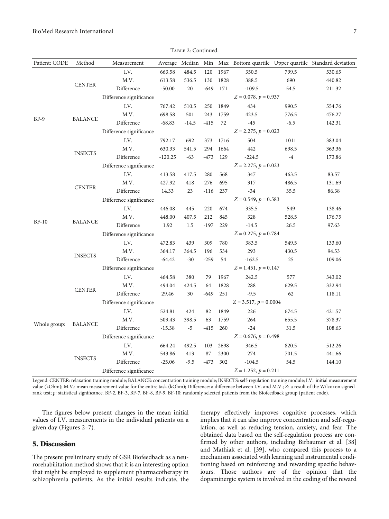|                                            |                         |                         |           | TABLE 2: Continued. |        |                           |                           |        |                                                                          |
|--------------------------------------------|-------------------------|-------------------------|-----------|---------------------|--------|---------------------------|---------------------------|--------|--------------------------------------------------------------------------|
| Patient: CODE                              | Method                  | Measurement             |           |                     |        |                           |                           |        | Average Median Min Max Bottom quartile Upper quartile Standard deviation |
|                                            |                         | I.V.                    | 663.58    | 484.5               | 120    | 1967                      | 350.5                     | 799.5  | 530.65                                                                   |
| <b>CENTER</b>                              |                         | M.V.                    | 613.58    | 536.5               | 130    | 1828                      | 388.5                     | 690    | 440.82                                                                   |
|                                            | Difference              | $-50.00$                | 20        | $-649$              | 171    | $-109.5$                  | 54.5                      | 211.32 |                                                                          |
|                                            | Difference significance |                         |           |                     |        | $Z = 0.078$ , $p = 0.937$ |                           |        |                                                                          |
|                                            |                         | I.V.                    | 767.42    | 510.5               | 250    | 1849                      | 434                       | 990.5  | 554.76                                                                   |
|                                            |                         | M.V.                    | 698.58    | 501                 | 243    | 1759                      | 423.5                     | 776.5  | 476.27                                                                   |
| $BF-9$<br><b>BALANCE</b>                   | Difference              | $-68.83$                | $-14.5$   | $-415$              | 72     | $-45$                     | $-6.5$                    | 142.31 |                                                                          |
|                                            | Difference significance |                         |           |                     |        | $Z = 2.275$ , $p = 0.023$ |                           |        |                                                                          |
|                                            |                         | I.V.                    | 792.17    | 692                 | 373    | 1716                      | 504                       | 1011   | 383.04                                                                   |
|                                            |                         | M.V.                    | 630.33    | 541.5               | 294    | 1664                      | 442                       | 698.5  | 363.36                                                                   |
| <b>INSECTS</b>                             |                         | Difference              | $-120.25$ | $-63$               | $-473$ | 129                       | $-224.5$                  | $-4$   | 173.86                                                                   |
|                                            |                         | Difference significance |           |                     |        |                           | $Z = 2.275$ , $p = 0.023$ |        |                                                                          |
|                                            |                         | I.V.                    | 413.58    | 417.5               | 280    | 568                       | 347                       | 463.5  | 83.57                                                                    |
|                                            |                         | M.V.                    | 427.92    | 418                 | 276    | 695                       | 317                       | 486.5  | 131.69                                                                   |
| <b>CENTER</b><br>$BF-10$<br><b>BALANCE</b> | Difference              | 14.33                   | 23        | $-116$              | 237    | $-34$                     | 35.5                      | 86.38  |                                                                          |
|                                            | Difference significance |                         |           |                     |        | $Z = 0.549$ , $p = 0.583$ |                           |        |                                                                          |
|                                            |                         | I.V.                    | 446.08    | 445                 | 220    | 674                       | 335.5                     | 549    | 138.46                                                                   |
|                                            | M.V.                    | 448.00                  | 407.5     | 212                 | 845    | 328                       | 528.5                     | 176.75 |                                                                          |
|                                            |                         | Difference              | 1.92      | 1.5                 | $-197$ | 229                       | $-14.5$                   | 26.5   | 97.63                                                                    |
|                                            |                         | Difference significance |           |                     |        |                           | $Z = 0.275$ , $p = 0.784$ |        |                                                                          |
|                                            |                         | I.V.                    | 472.83    | 439                 | 309    | 780                       | 383.5                     | 549.5  | 133.60                                                                   |
|                                            | <b>INSECTS</b>          | M.V.                    | 364.17    | 364.5               | 196    | 534                       | 293                       | 430.5  | 94.53                                                                    |
|                                            |                         | Difference              | $-64.42$  | $-30$               | $-259$ | 54                        | $-162.5$                  | 25     | 109.06                                                                   |
|                                            | Difference significance |                         |           |                     |        | $Z = 1.451, p = 0.147$    |                           |        |                                                                          |
|                                            |                         | I.V.                    | 464.58    | 380                 | 79     | 1967                      | 242.5                     | 577    | 343.02                                                                   |
|                                            | <b>CENTER</b>           | M.V.                    | 494.04    | 424.5               | 64     | 1828                      | 288                       | 629.5  | 332.94                                                                   |
| Whole group:<br><b>BALANCE</b>             | Difference              | 29.46                   | 30        | $-649$              | 251    | $-9.5$                    | 62                        | 118.11 |                                                                          |
|                                            | Difference significance |                         |           |                     |        | $Z = 3.517, p = 0.0004$   |                           |        |                                                                          |
|                                            |                         | I.V.                    | 524.81    | 424                 | 82     | 1849                      | 226                       | 674.5  | 421.57                                                                   |
|                                            |                         | M.V.                    | 509.43    | 398.5               | 63     | 1759                      | 264                       | 655.5  | 378.37                                                                   |
|                                            |                         | Difference              | $-15.38$  | $-5$                | $-415$ | 260                       | $-24$                     | 31.5   | 108.63                                                                   |
|                                            |                         | Difference significance |           |                     |        |                           | $Z = 0.676$ , $p = 0.498$ |        |                                                                          |
|                                            |                         | I.V.                    | 664.24    | 492.5               | 103    | 2698                      | 346.5                     | 820.5  | 512.26                                                                   |
|                                            | <b>INSECTS</b>          | M.V.                    | 543.86    | 413                 | 87     | 2300                      | 274                       | 701.5  | 441.66                                                                   |
|                                            |                         | Difference              | $-25.06$  | $-9.5$              | $-473$ | 302                       | $-104.5$                  | 54.5   | 144.10                                                                   |
|                                            |                         | Difference significance |           |                     |        |                           | $Z = 1.252, p = 0.211$    |        |                                                                          |

Legend: CENTER: relaxation training module; BALANCE: concentration training module; INSECTS: self-regulation training module; I.V.: initial measurement value (kOhm); M.V.: mean measurement value for the entire task (kOhm); Difference: a difference between I.V. and M.V.; *Z*: a result of the Wilcoxon signedrank test; *p*: statistical significance. BF-2, BF-3, BF-7, BF-8, BF-9, BF-10: randomly selected patients from the Biofeedback group (patient code).

The figures below present changes in the mean initial values of I.V. measurements in the individual patients on a given day (Figures [2](#page-8-0)–[7\)](#page-9-0).

### 5. Discussion

The present preliminary study of GSR Biofeedback as a neurorehabilitation method shows that it is an interesting option that might be employed to supplement pharmacotherapy in schizophrenia patients. As the initial results indicate, the therapy effectively improves cognitive processes, which implies that it can also improve concentration and self-regulation, as well as reducing tension, anxiety, and fear. The obtained data based on the self-regulation process are confirmed by other authors, including Birbaumer et al. [[38\]](#page-11-0) and Mathiak et al. [[39](#page-11-0)], who compared this process to a mechanism associated with learning and instrumental conditioning based on reinforcing and rewarding specific behaviours. Those authors are of the opinion that the dopaminergic system is involved in the coding of the reward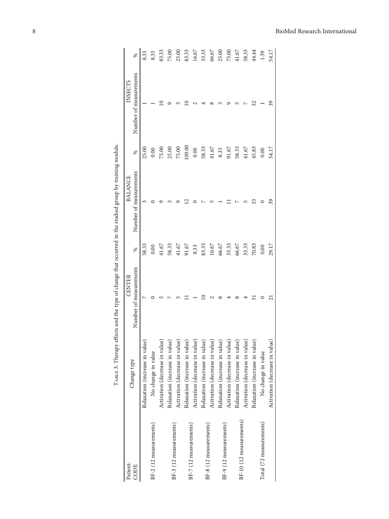<span id="page-7-0"></span>

|                         | ֦֦֧֦֧֢֦֧֦֧֦֧ׅ֦֧ׅ֪֚֚֚֚֚֡֝֝֜֝֜<br>֧֚֝ | ֚֚֬                    |       | J                      |         |                        |       |
|-------------------------|-------------------------------------|------------------------|-------|------------------------|---------|------------------------|-------|
| Patient:                | Change type                         | <b>CENTER</b>          |       | <b>BALANCE</b>         |         | INSECTS                |       |
| CODE                    |                                     | Number of measurements | ℅     | Number of measurements | ℅       | Number of measurements | $\%$  |
|                         | Relaxation (increase in value)      |                        | 58.33 |                        | 25.0C   |                        | 8.33  |
| BF-2 (12 measurements)  | No change in value                  |                        | 0.00  |                        | 0.00    |                        | 8.33  |
|                         | Activation (decrease in value)      |                        | 41.67 |                        | 75.00   |                        | 83.33 |
|                         | Relaxation (increase in value)      |                        | 58.33 |                        | 25.00   |                        | 75.00 |
| BF-3 (12 measurements)  | Activation (decrease in value)      |                        | 41.67 |                        | 75.00   |                        | 25.00 |
|                         | Relaxation (increase in value)      |                        | 91.67 |                        | 100.00  |                        | 83.33 |
| BF-7 (12 measurements)  | Activation (decrease in value)      |                        | 8.33  |                        | $0.00$  |                        | 16.67 |
|                         | Relaxation (increase in value)      |                        | 83.33 |                        | 58.33   |                        | 33.33 |
| BF-8 (12 measurements)  | Activation (decrease in value)      |                        | 16.67 |                        | 41.67   |                        | 66.67 |
|                         | Relaxation (increase in value)      |                        | 66.67 |                        | 8.33    |                        | 25.00 |
| BF-9 (12 measurements)  | Activation (decrease in value)      |                        | 33.33 |                        | 91.67   |                        | 75.00 |
|                         | Relaxation (increase in value)      |                        | 66.67 |                        | 58.33   |                        | 41.67 |
| BF-10 (12 measurements) | Activation (decrease in value)      |                        | 33.33 |                        | $41.67$ |                        | 58.33 |
|                         | Relaxation (increase in value)      |                        | 70.83 | సె                     | 45.83   |                        | 44.44 |
| Total (72 measurements) | No change in value                  |                        | 0.00  |                        | 0.00    |                        | 1.39  |
|                         | Activation (decrease in value)      |                        | 29.17 | 39                     | 54.17   | 39                     | 54.17 |
|                         |                                     |                        |       |                        |         |                        |       |

TABLE 3: Therapy effects and the type of change that occurred in the studied group by training module. Table 3: Therapy effects and the type of change that occurred in the studied group by training module.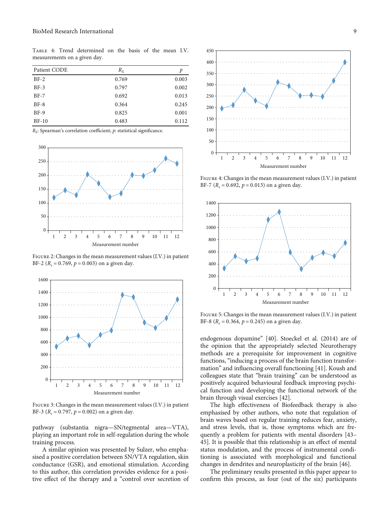<span id="page-8-0"></span>Table 4: Trend determined on the basis of the mean I.V. measurements on a given day.

| Patient CODE | $R_{S}$ | p     |
|--------------|---------|-------|
| $BF-2$       | 0.769   | 0.003 |
| $BF-3$       | 0.797   | 0.002 |
| $BF-7$       | 0.692   | 0.013 |
| $BF-8$       | 0.364   | 0.245 |
| $BF-9$       | 0.825   | 0.001 |
| $BF-10$      | 0.483   | 0.112 |

*RS*: Spearman's correlation coefficient; *p*: statistical significance.



Figure 2: Changes in the mean measurement values (I.V.) in patient BF-2 ( $R_s = 0.769$ ,  $p = 0.003$ ) on a given day.



FIGURE 3: Changes in the mean measurement values (I.V.) in patient BF-3 ( $R_s = 0.797$ ,  $p = 0.002$ ) on a given day.

pathway (substantia nigra—SN/tegmental area—VTA), playing an important role in self-regulation during the whole training process.

A similar opinion was presented by Sulzer, who emphasised a positive correlation between SN/VTA regulation, skin conductance (GSR), and emotional stimulation. According to this author, this correlation provides evidence for a positive effect of the therapy and a "control over secretion of



Figure 4: Changes in the mean measurement values (I.V.) in patient BF-7 ( $R_s = 0.692$ ,  $p = 0.013$ ) on a given day.



Figure 5: Changes in the mean measurement values (I.V.) in patient BF-8 ( $R_c = 0.364$ ,  $p = 0.245$ ) on a given day.

endogenous dopamine" [\[40\]](#page-11-0). Stoeckel et al. (2014) are of the opinion that the appropriately selected Neurotherapy methods are a prerequisite for improvement in cognitive functions, "inducing a process of the brain function transformation" and influencing overall functioning [\[41\]](#page-11-0). Koush and colleagues state that "brain training" can be understood as positively acquired behavioural feedback improving psychical function and developing the functional network of the brain through visual exercises [\[42\]](#page-11-0).

The high effectiveness of Biofeedback therapy is also emphasised by other authors, who note that regulation of brain waves based on regular training reduces fear, anxiety, and stress levels, that is, those symptoms which are frequently a problem for patients with mental disorders [\[43](#page-11-0)– [45\]](#page-11-0). It is possible that this relationship is an effect of mental status modulation, and the process of instrumental conditioning is associated with morphological and functional changes in dendrites and neuroplasticity of the brain [[46](#page-11-0)].

The preliminary results presented in this paper appear to confirm this process, as four (out of the six) participants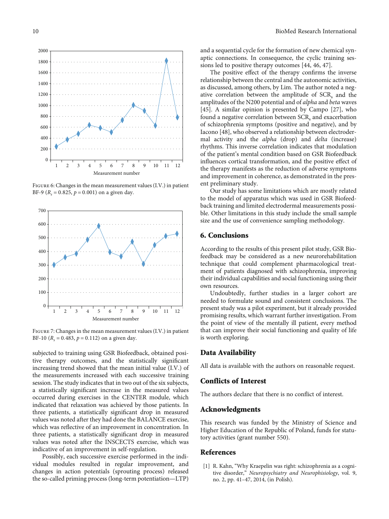<span id="page-9-0"></span>

Figure 6: Changes in the mean measurement values (I.V.) in patient BF-9 ( $R_s = 0.825$ ,  $p = 0.001$ ) on a given day.



FIGURE 7: Changes in the mean measurement values (I.V.) in patient BF-10 ( $R_s = 0.483$ ,  $p = 0.112$ ) on a given day.

subjected to training using GSR Biofeedback, obtained positive therapy outcomes, and the statistically significant increasing trend showed that the mean initial value (I.V.) of the measurements increased with each successive training session. The study indicates that in two out of the six subjects, a statistically significant increase in the measured values occurred during exercises in the CENTER module, which indicated that relaxation was achieved by those patients. In three patients, a statistically significant drop in measured values was noted after they had done the BALANCE exercise, which was reflective of an improvement in concentration. In three patients, a statistically significant drop in measured values was noted after the INSCECTS exercise, which was indicative of an improvement in self-regulation.

Possibly, each successive exercise performed in the individual modules resulted in regular improvement, and changes in action potentials (sprouting process) released the so-called priming process (long-term potentiation—LTP)

and a sequential cycle for the formation of new chemical synaptic connections. In consequence, the cyclic training sessions led to positive therapy outcomes [\[44](#page-11-0), [46, 47](#page-11-0)].

The positive effect of the therapy confirms the inverse relationship between the central and the autonomic activities, as discussed, among others, by Lim. The author noted a negative correlation between the amplitude of SCR<sub>s</sub> and the amplitudes of the N200 potential and of alpha and beta waves [\[45\]](#page-11-0). A similar opinion is presented by Campo [[27](#page-10-0)], who found a negative correlation between SCR<sub>s</sub> and exacerbation of schizophrenia symptoms (positive and negative), and by Iacono [[48](#page-11-0)], who observed a relationship between electrodermal activity and the alpha (drop) and delta (increase) rhythms. This inverse correlation indicates that modulation of the patient's mental condition based on GSR Biofeedback influences cortical transformation, and the positive effect of the therapy manifests as the reduction of adverse symptoms and improvement in coherence, as demonstrated in the present preliminary study.

Our study has some limitations which are mostly related to the model of apparatus which was used in GSR Biofeedback training and limited electrodermal measurements possible. Other limitations in this study include the small sample size and the use of convenience sampling methodology.

#### 6. Conclusions

According to the results of this present pilot study, GSR Biofeedback may be considered as a new neurorehabilitation technique that could complement pharmacological treatment of patients diagnosed with schizophrenia, improving their individual capabilities and social functioning using their own resources.

Undoubtedly, further studies in a larger cohort are needed to formulate sound and consistent conclusions. The present study was a pilot experiment, but it already provided promising results, which warrant further investigation. From the point of view of the mentally ill patient, every method that can improve their social functioning and quality of life is worth exploring.

#### Data Availability

All data is available with the authors on reasonable request.

#### Conflicts of Interest

The authors declare that there is no conflict of interest.

#### Acknowledgments

This research was funded by the Ministry of Science and Higher Education of the Republic of Poland, funds for statutory activities (grant number 550).

#### References

[1] R. Kahn, "Why Kraepelin was right: schizophrenia as a cognitive disorder," Neuropsychiatry and Neurophisiology, vol. 9, no. 2, pp. 41–47, 2014, (in Polish).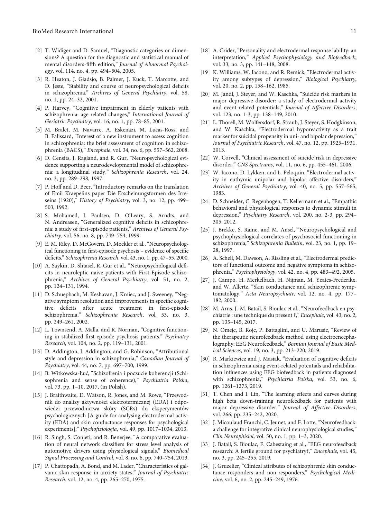- <span id="page-10-0"></span>[2] T. Widiger and D. Samuel, "Diagnostic categories or dimensions? A question for the diagnostic and statistical manual of mental disorders-fifth edition," Journal of Abnormal Psychology, vol. 114, no. 4, pp. 494–504, 2005.
- [3] R. Heaton, J. Gladsjo, B. Palmer, J. Kuck, T. Marcotte, and D. Jeste, "Stability and course of neuropsychological deficits in schizophrenia," Archives of General Psychiatry, vol. 58, no. 1, pp. 24–32, 2001.
- [4] P. Harvey, "Cognitive impairment in elderly patients with schizophrenia: age related changes," International Journal of Geriatric Psychiatry, vol. 16, no. 1, pp. 78–85, 2001.
- [5] M. Bralet, M. Navarre, A. Eskenazi, M. Lucas-Ross, and B. Falissard, "Interest of a new instrument to assess cognition in schizophrenia: the brief assessment of cognition in schizophrenia (BACS)," Encephale, vol. 34, no. 6, pp. 557–562, 2008.
- [6] D. Censits, J. Ragland, and R. Gur, "Neuropsychological evidence supporting a neurodevelopmental model of schizophrenia: a longitudinal study," Schizophrenia Research, vol. 24, no. 3, pp. 289–298, 1997.
- [7] P. Hoff and D. Beer, "Introductory remarks on the translation of Emil Kraepelins paper Die Erscheinungsformen des Irreseins (1920)," History of Psychiatry, vol. 3, no. 12, pp. 499-503, 1992.
- [8] S. Mohamed, J. Paulsen, D. O'Leary, S. Arndts, and N. Andreasen, "Generalized cognitive deficits in schizophrenia: a study of first-episode patients," Archives of General Psychiatry, vol. 56, no. 8, pp. 749–754, 1999.
- [9] E. M. Riley, D. McGovern, D. Mockler et al., "Neuropsychological functioning in first-episode psychosis – evidence of specific deficits," Schizophrenia Research, vol. 43, no. 1, pp. 47–55, 2000.
- [10] A. Saykin, D. Shtasel, R. Gur et al., "Neuropsychological deficits in neuroleptic naive patients with First-Episode schizophrenia," Archives of General Psychiatry, vol. 51, no. 2, pp. 124–131, 1994.
- [11] D. Schuepbach, M. Keshavan, J. Kmiec, and J. Sweeney, "Negative symptom resolution and improvements in specific cognitive deficits after acute treatment in first-episode schizophrenia," Schizophrenia Research, vol. 53, no. 3, pp. 249–261, 2002.
- [12] L. Townsend, A. Malla, and R. Norman, "Cognitive functioning in stabilized first-episode psychosis patients," Psychiatry Research, vol. 104, no. 2, pp. 119–131, 2001.
- [13] D. Addington, J. Addington, and G. Robinson, "Attributional style and depression in schizophrenia," Canadian Journal of Psychiatry, vol. 44, no. 7, pp. 697–700, 1999.
- [14] B. Witkowska-Łuć, "Schizofrenia i poczucie koherencji (Schisophrenia and sense of coherence)," Psychiatria Polska, vol. 73, pp. 1–10, 2017, (in Polish).
- [15] J. Braithwaite, D. Watson, R. Jones, and M. Rowe, "Przewodnik do analizy aktywności elektrotermicznej (EDA) i odpowiedzi przewodnictwa skóry (SCRs) do eksperymentów psychologicznych [A guide for analysing electrodermal activity (EDA) and skin conductance responses for psychological experiments]," Psychofizjologia, vol. 49, pp. 1017–1034, 2013.
- [16] R. Singh, S. Conjeti, and R. Benerjee, "A comparative evaluation of neural network classifiers for stress level analysis of automotive drivers using physiological signals," Biomedical Signal Processing and Control, vol. 8, no. 6, pp. 740–754, 2013.
- [17] P. Chattopadh, A. Bond, and M. Lader, "Characteristics of galvanic skin response in anxiety states," Journal of Psychiatric Research, vol. 12, no. 4, pp. 265–270, 1975.
- [18] A. Crider, "Personality and electrodermal response lability: an interpretation," Applied Psychophysiology and Biofeedback, vol. 33, no. 3, pp. 141–148, 2008.
- [19] K. Williams, W. Iacono, and R. Remick, "Electrodermal activity among subtypes of depression," Biological Psychiatry, vol. 20, no. 2, pp. 158–162, 1985.
- [20] M. Jandl, J. Steyer, and W. Kaschka, "Suicide risk markers in major depressive disorder: a study of electrodermal activity and event-related potentials," Journal of Affective Disorders, vol. 123, no. 1-3, pp. 138–149, 2010.
- [21] L. Thorell, M. Wolfersdorf, R. Straub, J. Steyer, S. Hodgkinson, and W. Kaschka, "Electrodermal hyporeactivity as a trait marker for suicidal propensity in uni- and bipolar depression," Journal of Psychiatric Research, vol. 47, no. 12, pp. 1925–1931, 2013.
- [22] W. Corvell, "Clinical assessment of suicide risk in depressive disorder," CNS Spectrums, vol. 11, no. 6, pp. 455–461, 2006.
- [23] W. Iacono, D. Lykken, and L. Peloquin, "Electrodermal activity in euthymic unipolar and bipolar affective disorders," Archives of General Psychiatry, vol. 40, no. 5, pp. 557–565, 1983.
- [24] D. Schneider, C. Regenbogen, T. Kellermann et al., "Empathic behavioral and physiological responses to dynamic stimuli in depression," Psychiatry Research, vol. 200, no. 2-3, pp. 294– 305, 2012.
- [25] J. Brekke, S. Raine, and M. Ansel, "Neuropsychological and psychophysiological correlates of psychosocial functioning in schizophrenia," Schizophrenia Bulletin, vol. 23, no. 1, pp. 19– 28, 1997.
- [26] A. Schell, M. Dawson, A. Rissling et al., "Electrodermal predictors of functional outcome and negative symptoms in schizophrenia," Psychophysiology, vol. 42, no. 4, pp. 483–492, 2005.
- [27] J. Campo, H. Merkelbach, H. Nijman, M. Yeates-Frederikx, and W. Allertz, "Skin conductance and schizophrenic symptomatology," Acta Neuropsychiatr, vol. 12, no. 4, pp. 177– 182, 2000.
- [28] M. Arns, J.-M. Batail, S. Bioulac et al., "Neurofeedback en psychiatrie : une technique du present ?," Encephale, vol. 43, no. 2, pp. 135–145, 2017.
- [29] N. Omejc, B. Rojc, P. Battaglini, and U. Marusic, "Review of the therapeutic neurofeedback method using electroencephalography: EEG Neurofeedback," Bosnian Journal of Basic Medical Sciences, vol. 19, no. 3, pp. 213–220, 2019.
- [30] R. Markiewicz and J. Masiak, "Evaluation of cognitive deficits in schizophrenia using event-related potentials and rehabilitation influences using EEG biofeedback in patients diagnosed with schizophrenia," Psychiatria Polska, vol. 53, no. 6, pp. 1261–1273, 2019.
- [31] T. Chen and I. Lin, "The learning effects and curves during high beta down-training neurofeedback for patients with major depressive disorder," Journal of Affective Disorders, vol. 266, pp. 235–242, 2020.
- [32] J. Micoulaud Franchi, C. Jeunet, and F. Lotte, "Neurofeedback: a challenge for integrative clinical neurophysiological studies," Clin Neurophisiol, vol. 50, no. 1, pp. 1–3, 2020.
- [33] J. Batail, S. Bioulac, F. Cabestaing et al., "EEG neurofeedback research: A fertile ground for psychiatry?," Encephale, vol. 45, no. 3, pp. 245–255, 2019.
- [34] J. Gruzelier, "Clinical attributes of schizophrenic skin conductance responders and non-responders," Psychological Medicine, vol. 6, no. 2, pp. 245–249, 1976.